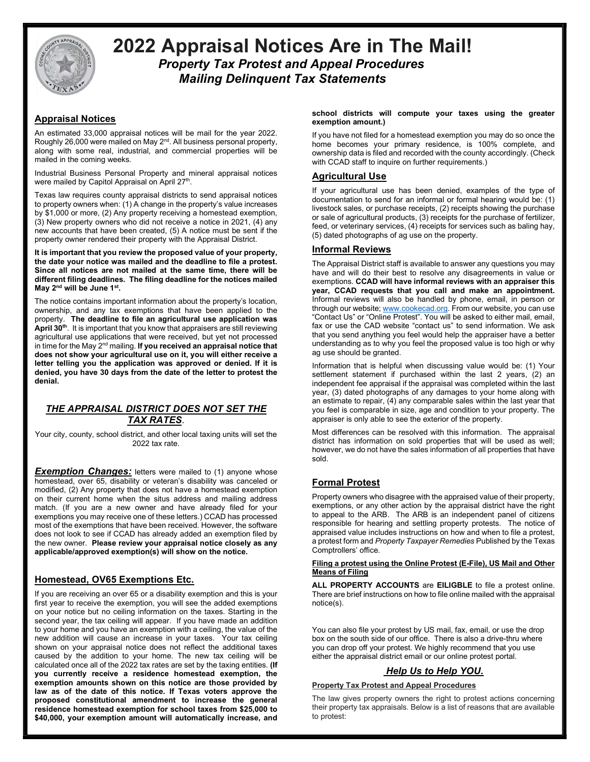

# 2022 Appraisal Notices Are in The Mail! Property Tax Protest and Appeal Procedures Mailing Delinquent Tax Statements

# Appraisal Notices

An estimated 33,000 appraisal notices will be mail for the year 2022. Roughly 26,000 were mailed on May 2<sup>nd</sup>. All business personal property, along with some real, industrial, and commercial properties will be mailed in the coming weeks.

Industrial Business Personal Property and mineral appraisal notices were mailed by Capitol Appraisal on April 27<sup>th</sup>.

Texas law requires county appraisal districts to send appraisal notices to property owners when: (1) A change in the property's value increases by \$1,000 or more, (2) Any property receiving a homestead exemption, (3) New property owners who did not receive a notice in 2021, (4) any new accounts that have been created, (5) A notice must be sent if the property owner rendered their property with the Appraisal District.

It is important that you review the proposed value of your property, the date your notice was mailed and the deadline to file a protest. Since all notices are not mailed at the same time, there will be different filing deadlines. The filing deadline for the notices mailed May 2<sup>nd</sup> will be June 1<sup>st</sup>.

The notice contains important information about the property's location, ownership, and any tax exemptions that have been applied to the property. The deadline to file an agricultural use application was April  $30<sup>th</sup>$ . It is important that you know that appraisers are still reviewing agricultural use applications that were received, but yet not processed in time for the May  $2<sup>nd</sup>$  mailing. If you received an appraisal notice that does not show your agricultural use on it, you will either receive a letter telling you the application was approved or denied. If it is denied, you have 30 days from the date of the letter to protest the denial.

## THE APPRAISAL DISTRICT DOES NOT SET THE TAX RATES.

Your city, county, school district, and other local taxing units will set the 2022 tax rate.

**Exemption Changes:** letters were mailed to (1) anyone whose homestead, over 65, disability or veteran's disability was canceled or modified, (2) Any property that does not have a homestead exemption on their current home when the situs address and mailing address match. (If you are a new owner and have already filed for your exemptions you may receive one of these letters.) CCAD has processed most of the exemptions that have been received. However, the software does not look to see if CCAD has already added an exemption filed by the new owner. Please review your appraisal notice closely as any applicable/approved exemption(s) will show on the notice.

# Homestead, OV65 Exemptions Etc.

If you are receiving an over 65 or a disability exemption and this is your first year to receive the exemption, you will see the added exemptions on your notice but no ceiling information on the taxes. Starting in the second year, the tax ceiling will appear. If you have made an addition to your home and you have an exemption with a ceiling, the value of the new addition will cause an increase in your taxes. Your tax ceiling shown on your appraisal notice does not reflect the additional taxes caused by the addition to your home. The new tax ceiling will be calculated once all of the 2022 tax rates are set by the taxing entities. (If you currently receive a residence homestead exemption, the exemption amounts shown on this notice are those provided by law as of the date of this notice. If Texas voters approve the proposed constitutional amendment to increase the general residence homestead exemption for school taxes from \$25,000 to \$40,000, your exemption amount will automatically increase, and school districts will compute your taxes using the greater exemption amount.)

If you have not filed for a homestead exemption you may do so once the home becomes your primary residence, is 100% complete, and ownership data is filed and recorded with the county accordingly. (Check with CCAD staff to inquire on further requirements.)

## Agricultural Use

If your agricultural use has been denied, examples of the type of documentation to send for an informal or formal hearing would be: (1) livestock sales, or purchase receipts, (2) receipts showing the purchase or sale of agricultural products, (3) receipts for the purchase of fertilizer, feed, or veterinary services, (4) receipts for services such as baling hay, (5) dated photographs of ag use on the property.

### Informal Reviews

The Appraisal District staff is available to answer any questions you may have and will do their best to resolve any disagreements in value or exemptions. CCAD will have informal reviews with an appraiser this year, CCAD requests that you call and make an appointment. Informal reviews will also be handled by phone, email, in person or through our website; www.cookecad.org. From our website, you can use "Contact Us" or "Online Protest". You will be asked to either mail, email, fax or use the CAD website "contact us" to send information. We ask that you send anything you feel would help the appraiser have a better understanding as to why you feel the proposed value is too high or why ag use should be granted.

Information that is helpful when discussing value would be: (1) Your settlement statement if purchased within the last 2 years, (2) an independent fee appraisal if the appraisal was completed within the last year, (3) dated photographs of any damages to your home along with an estimate to repair, (4) any comparable sales within the last year that you feel is comparable in size, age and condition to your property. The appraiser is only able to see the exterior of the property.

Most differences can be resolved with this information. The appraisal district has information on sold properties that will be used as well; however, we do not have the sales information of all properties that have sold.

# Formal Protest

Property owners who disagree with the appraised value of their property, exemptions, or any other action by the appraisal district have the right to appeal to the ARB. The ARB is an independent panel of citizens responsible for hearing and settling property protests. The notice of appraised value includes instructions on how and when to file a protest, a protest form and Property Taxpayer Remedies Published by the Texas Comptrollers' office.

### Filing a protest using the Online Protest (E-File), US Mail and Other Means of Filing

ALL PROPERTY ACCOUNTS are EILIGBLE to file a protest online. There are brief instructions on how to file online mailed with the appraisal notice(s).

You can also file your protest by US mail, fax, email, or use the drop box on the south side of our office. There is also a drive-thru where you can drop off your protest. We highly recommend that you use either the appraisal district email or our online protest portal.

# Help Us to Help YOU.

### Property Tax Protest and Appeal Procedures

The law gives property owners the right to protest actions concerning their property tax appraisals. Below is a list of reasons that are available to protest: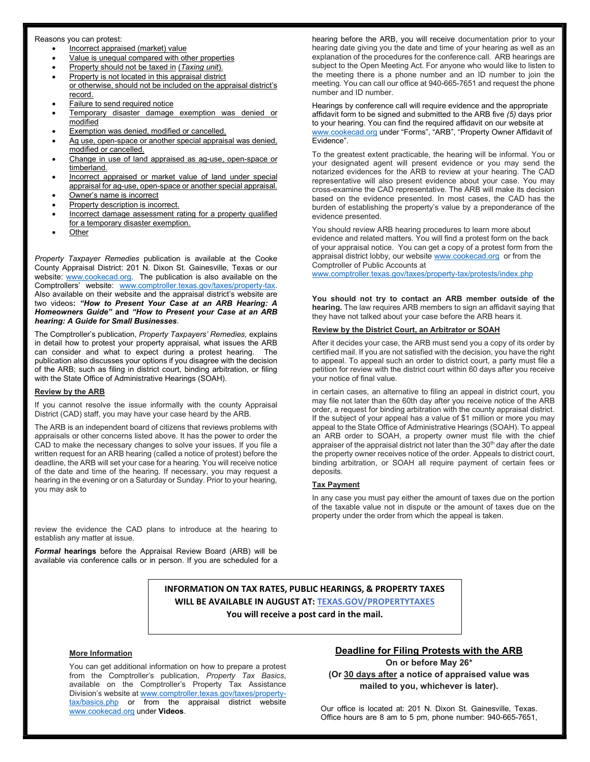#### Reasons you can protest:

- Incorrect appraised (market) value
- Value is unequal compared with other properties
- Property should not be taxed in (Taxing unit).
- Property is not located in this appraisal district
- or otherwise, should not be included on the appraisal district's record.
- Failure to send required notice
- Temporary disaster damage exemption was denied or modified
- Exemption was denied, modified or cancelled.
- Ag use, open-space or another special appraisal was denied, modified or cancelled.
- Change in use of land appraised as ag-use, open-space or timberland.
- Incorrect appraised or market value of land under special appraisal for ag-use, open-space or another special appraisal.
- Owner's name is incorrect
- Property description is incorrect.
- Incorrect damage assessment rating for a property qualified for a temporary disaster exemption.
- **Other**

Property Taxpayer Remedies publication is available at the Cooke County Appraisal District: 201 N. Dixon St. Gainesville, Texas or our website: www.cookecad.org. The publication is also available on the Comptrollers' website: www.comptroller.texas.gov/taxes/property-tax. Also available on their website and the appraisal district's website are two videos: "How to Present Your Case at an ARB Hearing: A Homeowners Guide" and "How to Present your Case at an ARB hearing: A Guide for Small Businesses.

The Comptroller's publication, Property Taxpayers' Remedies, explains in detail how to protest your property appraisal, what issues the ARB can consider and what to expect during a protest hearing. The publication also discusses your options if you disagree with the decision of the ARB; such as filing in district court, binding arbitration, or filing with the State Office of Administrative Hearings (SOAH).

#### Review by the ARB

If you cannot resolve the issue informally with the county Appraisal District (CAD) staff, you may have your case heard by the ARB.

The ARB is an independent board of citizens that reviews problems with appraisals or other concerns listed above. It has the power to order the CAD to make the necessary changes to solve your issues. If you file a written request for an ARB hearing (called a notice of protest) before the deadline, the ARB will set your case for a hearing. You will receive notice of the date and time of the hearing. If necessary, you may request a hearing in the evening or on a Saturday or Sunday. Prior to your hearing, you may ask to

review the evidence the CAD plans to introduce at the hearing to establish any matter at issue.

Formal hearings before the Appraisal Review Board (ARB) will be available via conference calls or in person. If you are scheduled for a hearing before the ARB, you will receive documentation prior to your hearing date giving you the date and time of your hearing as well as an explanation of the procedures for the conference call. ARB hearings are subject to the Open Meeting Act. For anyone who would like to listen to the meeting there is a phone number and an ID number to join the meeting. You can call our office at 940-665-7651 and request the phone number and ID number.

Hearings by conference call will require evidence and the appropriate affidavit form to be signed and submitted to the ARB five (5) days prior to your hearing. You can find the required affidavit on our website at www.cookecad.org under "Forms", "ARB", "Property Owner Affidavit of Evidence".

To the greatest extent practicable, the hearing will be informal. You or your designated agent will present evidence or you may send the notarized evidences for the ARB to review at your hearing. The CAD representative will also present evidence about your case. You may cross-examine the CAD representative. The ARB will make its decision based on the evidence presented. In most cases, the CAD has the burden of establishing the property's value by a preponderance of the evidence presented.

You should review ARB hearing procedures to learn more about evidence and related matters. You will find a protest form on the back of your appraisal notice. You can get a copy of a protest form from the appraisal district lobby, our website www.cookecad.org or from the Comptroller of Public Accounts at

www.comptroller.texas.gov/taxes/property-tax/protests/index.php

You should not try to contact an ARB member outside of the hearing. The law requires ARB members to sign an affidavit saying that they have not talked about your case before the ARB hears it.

#### Review by the District Court, an Arbitrator or SOAH

After it decides your case, the ARB must send you a copy of its order by certified mail. If you are not satisfied with the decision, you have the right to appeal. To appeal such an order to district court, a party must file a petition for review with the district court within 60 days after you receive your notice of final value.

in certain cases, an alternative to filing an appeal in district court, you may file not later than the 60th day after you receive notice of the ARB order, a request for binding arbitration with the county appraisal district. If the subject of your appeal has a value of \$1 million or more you may appeal to the State Office of Administrative Hearings (SOAH). To appeal an ARB order to SOAH, a property owner must file with the chief appraiser of the appraisal district not later than the  $30<sup>th</sup>$  day after the date the property owner receives notice of the order. Appeals to district court, binding arbitration, or SOAH all require payment of certain fees or deposits.

#### Tax Payment

In any case you must pay either the amount of taxes due on the portion of the taxable value not in dispute or the amount of taxes due on the property under the order from which the appeal is taken.

INFORMATION ON TAX RATES, PUBLIC HEARINGS, & PROPERTY TAXES WILL BE AVAILABLE IN AUGUST AT: TEXAS.GOV/PROPERTYTAXES You will receive a post card in the mail.

#### More Information

You can get additional information on how to prepare a protest from the Comptroller's publication, Property Tax Basics, available on the Comptroller's Property Tax Assistance Division's website at www.comptroller.texas.gov/taxes/propertytax/basics.php or from the appraisal district website www.cookecad.org under Videos.

### Deadline for Filing Protests with the ARB

On or before May 26\* (Or 30 days after a notice of appraised value was mailed to you, whichever is later).

Our office is located at: 201 N. Dixon St. Gainesville, Texas. Office hours are 8 am to 5 pm, phone number: 940-665-7651,